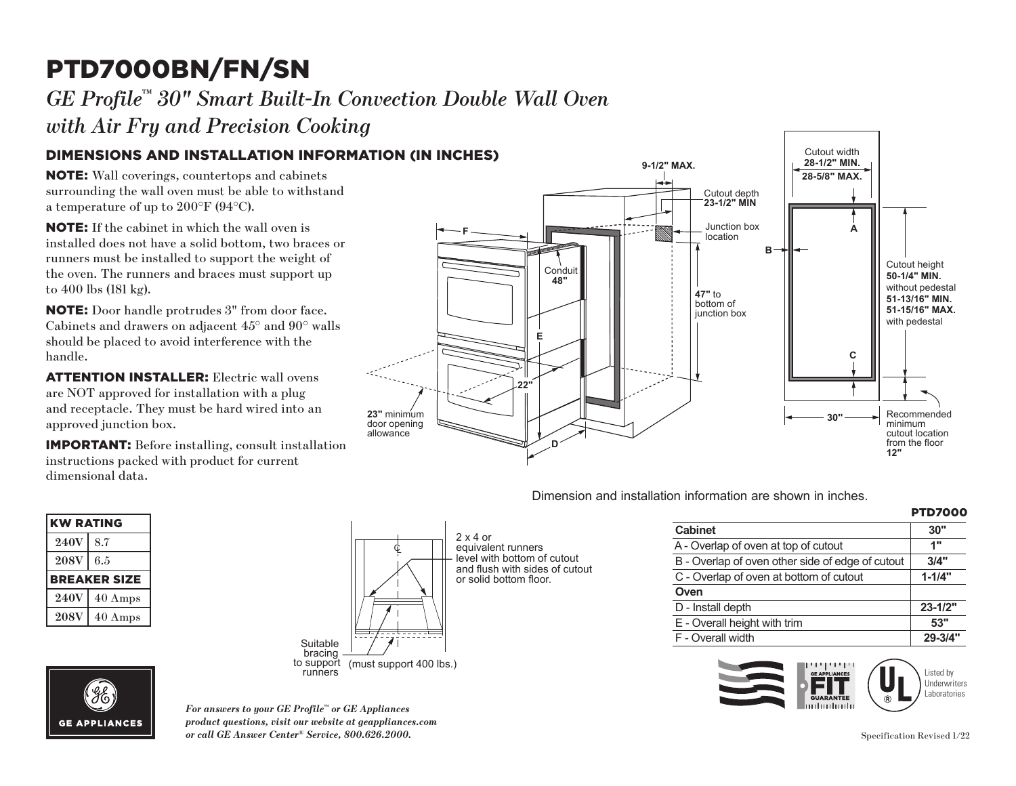# PTD7000BN/FN/SN

### **GE Profile™ 30" Smart Built-In Convection Double Wall Oven**

*with Air Fry and Precision Cooking*

#### DIMENSIONS AND INSTALLATION INFORMATION (IN INCHES) **48"**

NOTE: Wall coverings, countertops and cabinets surrounding the wall oven must be able to withstand a temperature of up to 200°F (94°C).

**E** installed does not have a solid bottom, two braces or NOTE: If the cabinet in which the wall oven is runners must be installed to support the weight of the oven. The runners and braces must support up to 400 lbs (181 kg).

**NOTE:** Door handle protrudes 3" from door face. handle. Cabinets and drawers on adjacent 45° and 90° walls should be placed to avoid interference with the

door opening **ATTENTION INSTALLER:** Electric wall ovens are ivor approved for instantion with a plug<br>and receptacle. They must be hard wired into an are NOT approved for installation with a plug approved junction box.

instructions packed with product for current<br>dimensional data IMPORTANT: Before installing, consult installation dimensional data.

| <b>KW RATING</b> |                     |
|------------------|---------------------|
| <b>240V</b>      | 8.7                 |
| <b>208V</b>      | 6.5                 |
|                  | <b>BREAKER SIZE</b> |
| <b>240V</b>      | $40$ Amps           |
| <b>208V</b>      | $40$ Amps           |



2 x 4 or equivalent runners level with bottom of cutout and flush with sides of cutout or solid bottom floor.

|                                                  | <b>PTD7000</b> |
|--------------------------------------------------|----------------|
| <b>Cabinet</b>                                   | 30"            |
| A - Overlap of oven at top of cutout             | 1"             |
| B - Overlap of oven other side of edge of cutout | 3/4"           |
| C - Overlap of oven at bottom of cutout          | $1 - 1/4"$     |
| Oven                                             |                |
| D - Install depth                                | $23 - 1/2"$    |
| E - Overall height with trim                     | 53"            |
| F - Overall width                                | $29 - 3/4"$    |

<u>Cutout height</u>





*For answers to your GE Profile™ or GE Appliances product questions, visit our website at geappliances.com or call GE Answer Center® Service, 800.626.2000.* Specification Revised 1/22



Dimension and installation information are shown in inches. **JTD3000SNSS, JTD5000BNTS, JTD5000DNBB,** 

D - Install depth **23-1/2"**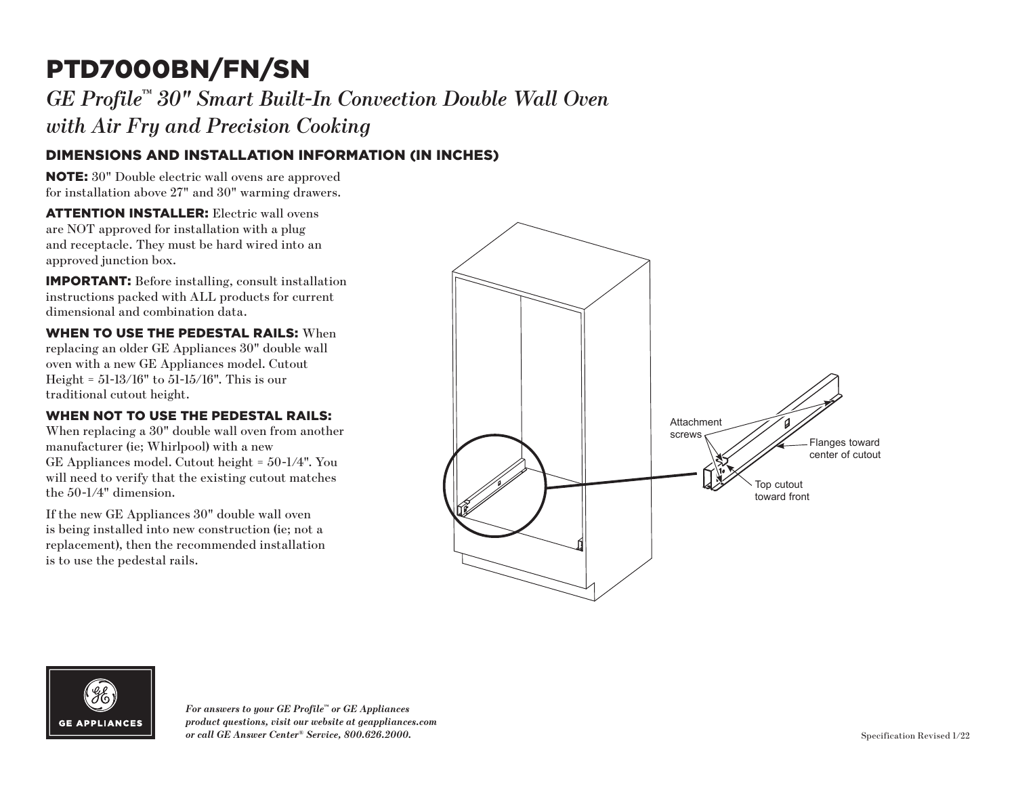## PTD7000BN/FN/SN

*GE Profile™ 30" Smart Built-In Convection Double Wall Oven with Air Fry and Precision Cooking*

### DIMENSIONS AND INSTALLATION INFORMATION (IN INCHES)

NOTE: 30" Double electric wall ovens are approved for installation above 27" and 30" warming drawers.

ATTENTION INSTALLER: Electric wall ovens are NOT approved for installation with a plug and receptacle. They must be hard wired into an approved junction box.

IMPORTANT: Before installing, consult installation instructions packed with ALL products for current dimensional and combination data.

WHEN TO USE THE PEDESTAL RAILS: When replacing an older GE Appliances 30" double wall oven with a new GE Appliances model. Cutout Height = 51-13/16" to 51-15/16". This is our traditional cutout height.

#### WHEN NOT TO USE THE PEDESTAL RAILS:

When replacing a 30" double wall oven from another manufacturer (ie; Whirlpool) with a new GE Appliances model. Cutout height = 50-1/4". You will need to verify that the existing cutout matches the 50-1/4" dimension.

If the new GE Appliances 30" double wall oven is being installed into new construction (ie; not a replacement), then the recommended installation is to use the pedestal rails.





*For answers to your GE Profile™ or GE Appliances product questions, visit our website at geappliances.com or call GE Answer Center® Service, 800.626.2000.* Specification Revised 1/22